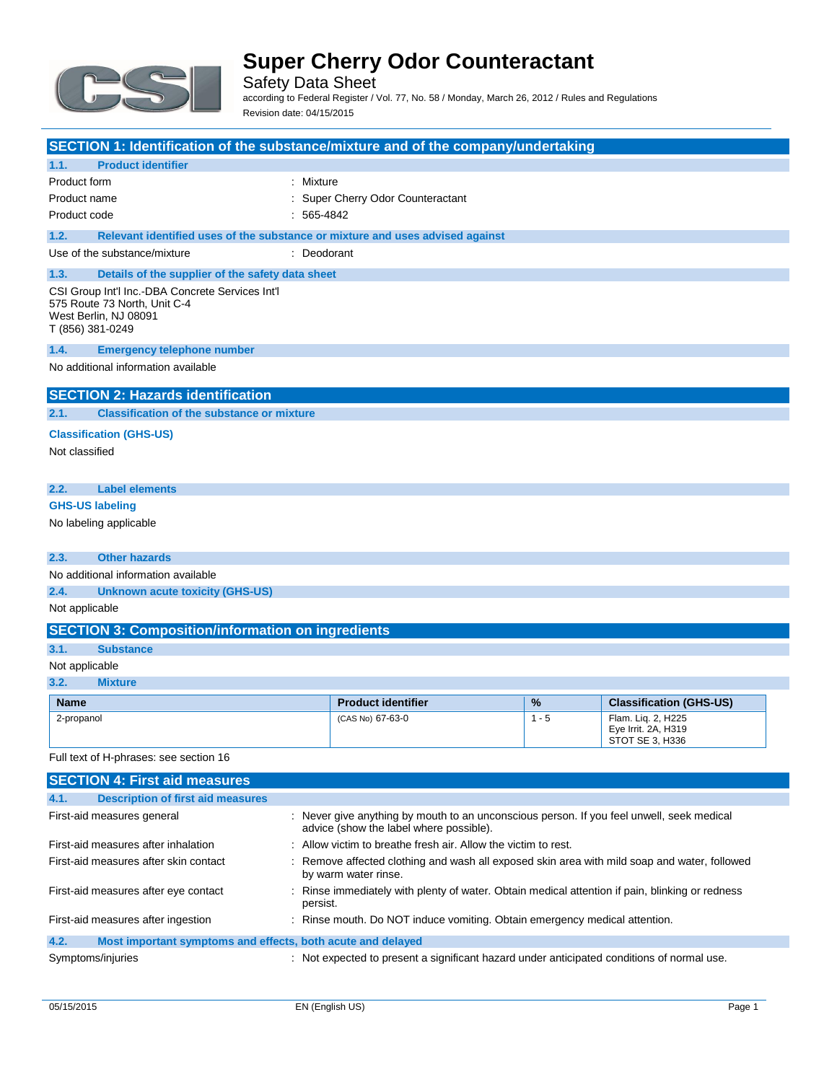

Safety Data Sheet according to Federal Register / Vol. 77, No. 58 / Monday, March 26, 2012 / Rules and Regulations Revision date: 04/15/2015

| SECTION 1: Identification of the substance/mixture and of the company/undertaking                                             |              |                                                                                                                                      |         |                                                              |
|-------------------------------------------------------------------------------------------------------------------------------|--------------|--------------------------------------------------------------------------------------------------------------------------------------|---------|--------------------------------------------------------------|
| 1.1.<br><b>Product identifier</b>                                                                                             |              |                                                                                                                                      |         |                                                              |
| Product form                                                                                                                  | : Mixture    |                                                                                                                                      |         |                                                              |
| Product name                                                                                                                  |              | : Super Cherry Odor Counteractant                                                                                                    |         |                                                              |
| Product code                                                                                                                  | $: 565-4842$ |                                                                                                                                      |         |                                                              |
| 1.2.<br>Relevant identified uses of the substance or mixture and uses advised against                                         |              |                                                                                                                                      |         |                                                              |
| Use of the substance/mixture                                                                                                  | : Deodorant  |                                                                                                                                      |         |                                                              |
| 1.3.<br>Details of the supplier of the safety data sheet                                                                      |              |                                                                                                                                      |         |                                                              |
| CSI Group Int'l Inc.-DBA Concrete Services Int'l<br>575 Route 73 North, Unit C-4<br>West Berlin, NJ 08091<br>T (856) 381-0249 |              |                                                                                                                                      |         |                                                              |
| 1.4.<br><b>Emergency telephone number</b>                                                                                     |              |                                                                                                                                      |         |                                                              |
| No additional information available                                                                                           |              |                                                                                                                                      |         |                                                              |
| <b>SECTION 2: Hazards identification</b>                                                                                      |              |                                                                                                                                      |         |                                                              |
| 2.1.<br><b>Classification of the substance or mixture</b>                                                                     |              |                                                                                                                                      |         |                                                              |
| <b>Classification (GHS-US)</b>                                                                                                |              |                                                                                                                                      |         |                                                              |
| Not classified                                                                                                                |              |                                                                                                                                      |         |                                                              |
|                                                                                                                               |              |                                                                                                                                      |         |                                                              |
| 2.2.<br><b>Label elements</b>                                                                                                 |              |                                                                                                                                      |         |                                                              |
| <b>GHS-US labeling</b>                                                                                                        |              |                                                                                                                                      |         |                                                              |
| No labeling applicable                                                                                                        |              |                                                                                                                                      |         |                                                              |
| <b>Other hazards</b><br>2.3.                                                                                                  |              |                                                                                                                                      |         |                                                              |
| No additional information available                                                                                           |              |                                                                                                                                      |         |                                                              |
| 2.4.<br><b>Unknown acute toxicity (GHS-US)</b>                                                                                |              |                                                                                                                                      |         |                                                              |
| Not applicable                                                                                                                |              |                                                                                                                                      |         |                                                              |
| <b>SECTION 3: Composition/information on ingredients</b>                                                                      |              |                                                                                                                                      |         |                                                              |
| 3.1.<br><b>Substance</b>                                                                                                      |              |                                                                                                                                      |         |                                                              |
| Not applicable                                                                                                                |              |                                                                                                                                      |         |                                                              |
| 3.2.<br><b>Mixture</b>                                                                                                        |              |                                                                                                                                      |         |                                                              |
| <b>Name</b>                                                                                                                   |              | <b>Product identifier</b>                                                                                                            | %       | <b>Classification (GHS-US)</b>                               |
| 2-propanol                                                                                                                    |              | (CAS No) 67-63-0                                                                                                                     | $1 - 5$ | Flam. Liq. 2, H225<br>Eye Irrit. 2A, H319<br>STOT SE 3, H336 |
| Full text of H-phrases: see section 16                                                                                        |              |                                                                                                                                      |         |                                                              |
| <b>SECTION 4: First aid measures</b>                                                                                          |              |                                                                                                                                      |         |                                                              |
| 4.1.<br><b>Description of first aid measures</b>                                                                              |              |                                                                                                                                      |         |                                                              |
| First-aid measures general                                                                                                    |              | : Never give anything by mouth to an unconscious person. If you feel unwell, seek medical<br>advice (show the label where possible). |         |                                                              |
| First-aid measures after inhalation                                                                                           |              | : Allow victim to breathe fresh air. Allow the victim to rest.                                                                       |         |                                                              |
| First-aid measures after skin contact                                                                                         |              | : Remove affected clothing and wash all exposed skin area with mild soap and water, followed<br>by warm water rinse.                 |         |                                                              |

First-aid measures after eye contact : Rinse immediately with plenty of water. Obtain medical attention if pain, blinking or redness persist. First-aid measures after ingestion : Rinse mouth. Do NOT induce vomiting. Obtain emergency medical attention.

### **4.2. Most important symptoms and effects, both acute and delayed**

Symptoms/injuries **interpretent a** : Not expected to present a significant hazard under anticipated conditions of normal use.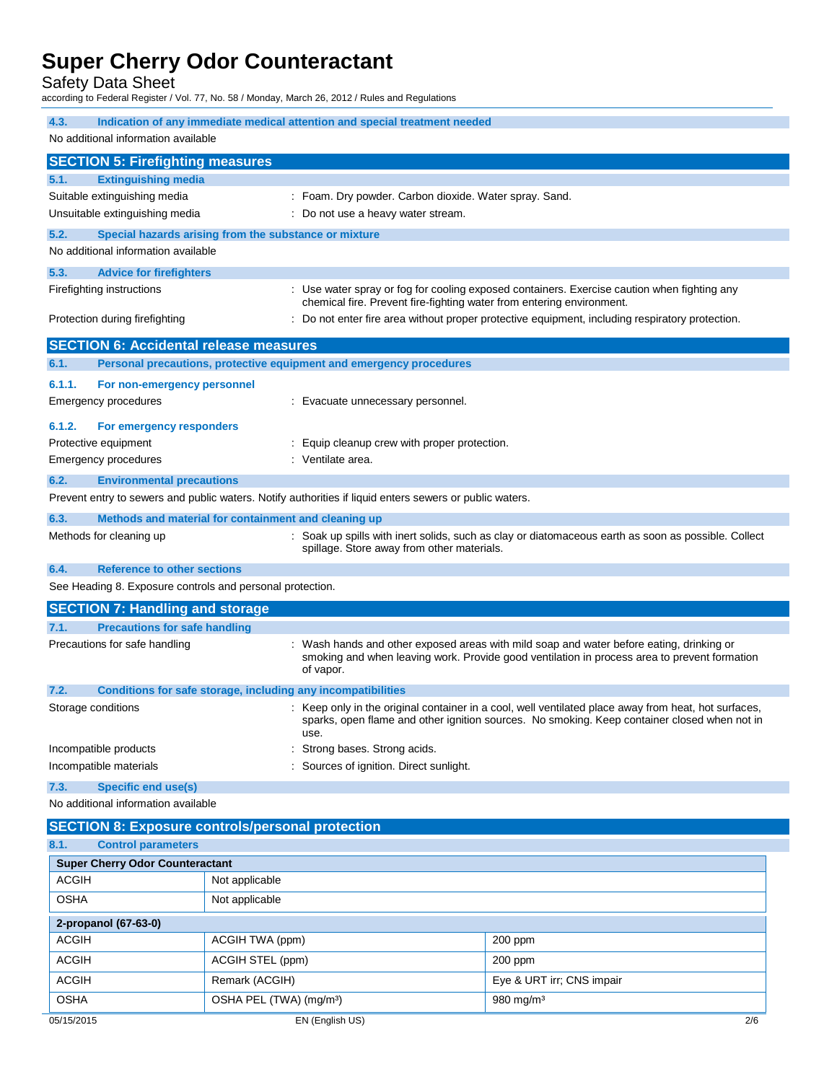Safety Data Sheet

according to Federal Register / Vol. 77, No. 58 / Monday, March 26, 2012 / Rules and Regulations

| 4.3.<br>Indication of any immediate medical attention and special treatment needed                                                                                                                                                   |  |  |  |
|--------------------------------------------------------------------------------------------------------------------------------------------------------------------------------------------------------------------------------------|--|--|--|
| No additional information available                                                                                                                                                                                                  |  |  |  |
| <b>SECTION 5: Firefighting measures</b>                                                                                                                                                                                              |  |  |  |
| <b>Extinguishing media</b><br>5.1.                                                                                                                                                                                                   |  |  |  |
| Suitable extinguishing media<br>: Foam. Dry powder. Carbon dioxide. Water spray. Sand.                                                                                                                                               |  |  |  |
| Unsuitable extinguishing media<br>: Do not use a heavy water stream.                                                                                                                                                                 |  |  |  |
| 5.2.<br>Special hazards arising from the substance or mixture                                                                                                                                                                        |  |  |  |
| No additional information available                                                                                                                                                                                                  |  |  |  |
| 5.3.<br><b>Advice for firefighters</b>                                                                                                                                                                                               |  |  |  |
| : Use water spray or fog for cooling exposed containers. Exercise caution when fighting any<br>Firefighting instructions                                                                                                             |  |  |  |
| chemical fire. Prevent fire-fighting water from entering environment.                                                                                                                                                                |  |  |  |
| Protection during firefighting<br>: Do not enter fire area without proper protective equipment, including respiratory protection.                                                                                                    |  |  |  |
| <b>SECTION 6: Accidental release measures</b>                                                                                                                                                                                        |  |  |  |
| Personal precautions, protective equipment and emergency procedures<br>6.1.                                                                                                                                                          |  |  |  |
| 6.1.1.<br>For non-emergency personnel                                                                                                                                                                                                |  |  |  |
| Emergency procedures<br>: Evacuate unnecessary personnel.                                                                                                                                                                            |  |  |  |
| 6.1.2.<br>For emergency responders                                                                                                                                                                                                   |  |  |  |
| Protective equipment<br>: Equip cleanup crew with proper protection.                                                                                                                                                                 |  |  |  |
| : Ventilate area.<br>Emergency procedures                                                                                                                                                                                            |  |  |  |
| 6.2.<br><b>Environmental precautions</b>                                                                                                                                                                                             |  |  |  |
| Prevent entry to sewers and public waters. Notify authorities if liquid enters sewers or public waters.                                                                                                                              |  |  |  |
| 6.3.<br>Methods and material for containment and cleaning up                                                                                                                                                                         |  |  |  |
| Methods for cleaning up<br>: Soak up spills with inert solids, such as clay or diatomaceous earth as soon as possible. Collect<br>spillage. Store away from other materials.                                                         |  |  |  |
| 6.4.<br><b>Reference to other sections</b>                                                                                                                                                                                           |  |  |  |
| See Heading 8. Exposure controls and personal protection.                                                                                                                                                                            |  |  |  |
| <b>SECTION 7: Handling and storage</b>                                                                                                                                                                                               |  |  |  |
| <b>Precautions for safe handling</b><br>7.1.                                                                                                                                                                                         |  |  |  |
| Precautions for safe handling<br>Wash hands and other exposed areas with mild soap and water before eating, drinking or<br>smoking and when leaving work. Provide good ventilation in process area to prevent formation<br>of vapor. |  |  |  |
| 7.2.<br>Conditions for safe storage, including any incompatibilities                                                                                                                                                                 |  |  |  |
| Storage conditions<br>: Keep only in the original container in a cool, well ventilated place away from heat, hot surfaces,<br>sparks, open flame and other ignition sources. No smoking. Keep container closed when not in<br>use.   |  |  |  |
| Incompatible products<br>Strong bases. Strong acids.                                                                                                                                                                                 |  |  |  |
| Sources of ignition. Direct sunlight.<br>Incompatible materials                                                                                                                                                                      |  |  |  |
| 7.3.<br><b>Specific end use(s)</b>                                                                                                                                                                                                   |  |  |  |
| No additional information available                                                                                                                                                                                                  |  |  |  |
| <b>SECTION 8: Exposure controls/personal protection</b>                                                                                                                                                                              |  |  |  |
| 8.1.<br><b>Control parameters</b>                                                                                                                                                                                                    |  |  |  |
| <b>Super Cherry Odor Counteractant</b>                                                                                                                                                                                               |  |  |  |
| <b>ACGIH</b><br>Not applicable                                                                                                                                                                                                       |  |  |  |
|                                                                                                                                                                                                                                      |  |  |  |
| <b>OSHA</b><br>Not applicable                                                                                                                                                                                                        |  |  |  |
|                                                                                                                                                                                                                                      |  |  |  |
| 2-propanol (67-63-0)<br><b>ACGIH</b><br>ACGIH TWA (ppm)<br>200 ppm                                                                                                                                                                   |  |  |  |
| <b>ACGIH</b><br>ACGIH STEL (ppm)<br>200 ppm                                                                                                                                                                                          |  |  |  |
| <b>ACGIH</b><br>Remark (ACGIH)<br>Eye & URT irr; CNS impair                                                                                                                                                                          |  |  |  |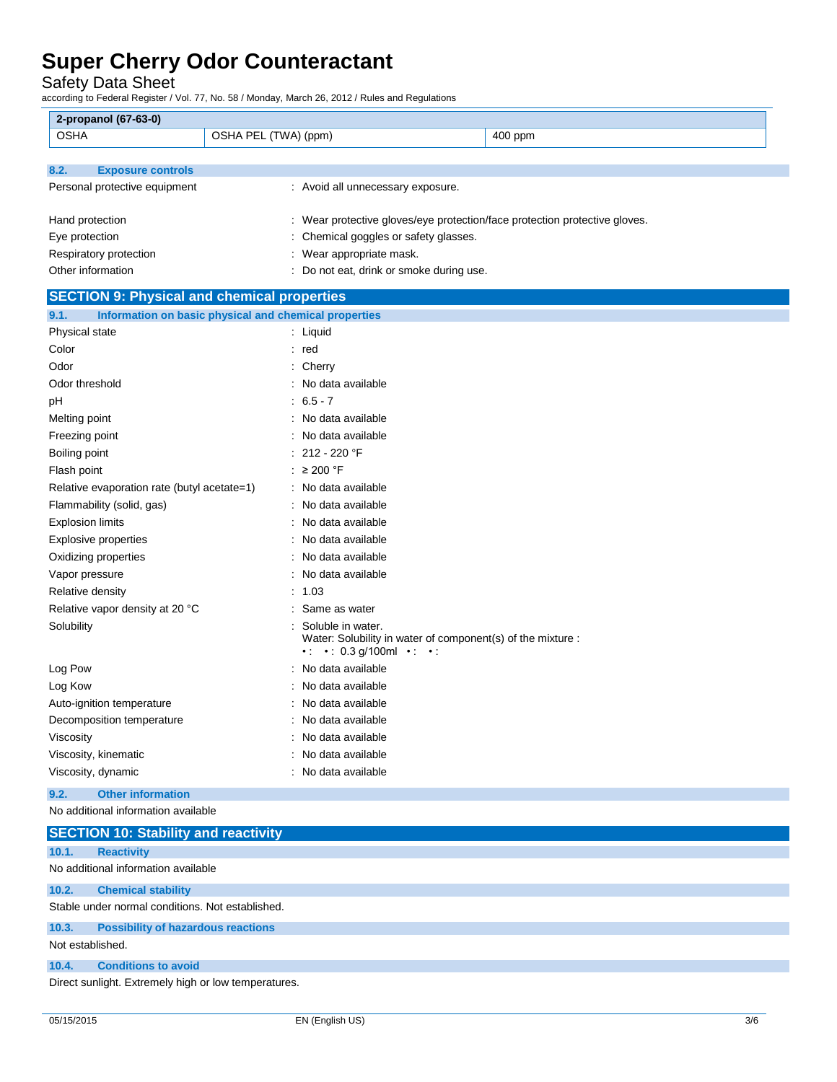Safety Data Sheet

according to Federal Register / Vol. 77, No. 58 / Monday, March 26, 2012 / Rules and Regulations

| <b>OSHA</b><br>OSHA PEL (TWA) (ppm)<br>400 ppm<br>8.2.<br><b>Exposure controls</b><br>Personal protective equipment<br>: Avoid all unnecessary exposure. |  |
|----------------------------------------------------------------------------------------------------------------------------------------------------------|--|
|                                                                                                                                                          |  |
|                                                                                                                                                          |  |
|                                                                                                                                                          |  |
|                                                                                                                                                          |  |
|                                                                                                                                                          |  |
| : Wear protective gloves/eye protection/face protection protective gloves.<br>Hand protection                                                            |  |
| Eye protection<br>: Chemical goggles or safety glasses.                                                                                                  |  |
| Respiratory protection<br>: Wear appropriate mask.                                                                                                       |  |
| Other information<br>: Do not eat, drink or smoke during use.                                                                                            |  |
| <b>SECTION 9: Physical and chemical properties</b>                                                                                                       |  |
| 9.1.<br>Information on basic physical and chemical properties                                                                                            |  |
| Physical state<br>: Liquid                                                                                                                               |  |
| Color<br>: red                                                                                                                                           |  |
| Odor<br>$:$ Cherry                                                                                                                                       |  |
| Odor threshold<br>No data available                                                                                                                      |  |
| $: 6.5 - 7$<br>рH                                                                                                                                        |  |
| : No data available<br>Melting point                                                                                                                     |  |
| Freezing point<br>: No data available                                                                                                                    |  |
| $: 212 - 220$ °F<br>Boiling point                                                                                                                        |  |
| : $\geq 200$ °F<br>Flash point                                                                                                                           |  |
| Relative evaporation rate (butyl acetate=1)<br>: No data available                                                                                       |  |
| Flammability (solid, gas)<br>: No data available                                                                                                         |  |
| : No data available<br><b>Explosion limits</b>                                                                                                           |  |
| No data available<br>Explosive properties                                                                                                                |  |
| No data available<br>Oxidizing properties                                                                                                                |  |
| Vapor pressure<br>: No data available                                                                                                                    |  |
| Relative density<br>: 1.03                                                                                                                               |  |
| Relative vapor density at 20 °C<br>: Same as water                                                                                                       |  |
| Solubility<br>Soluble in water.<br>Water: Solubility in water of component(s) of the mixture :<br>$\cdot$ : $\cdot$ : 0.3 g/100ml $\cdot$ : $\cdot$ :    |  |
| Log Pow<br>No data available                                                                                                                             |  |
| No data available<br>Log Kow                                                                                                                             |  |
| No data available<br>Auto-ignition temperature                                                                                                           |  |
| No data available<br>Decomposition temperature                                                                                                           |  |
| Viscosity<br>No data available                                                                                                                           |  |
| Viscosity, kinematic<br>No data available                                                                                                                |  |
| Viscosity, dynamic<br>: No data available                                                                                                                |  |

### **9.2. Other information**

No additional information available

|                  | <b>SECTION 10: Stability and reactivity</b>          |
|------------------|------------------------------------------------------|
| 10.1.            | <b>Reactivity</b>                                    |
|                  | No additional information available                  |
| 10.2.            | <b>Chemical stability</b>                            |
|                  | Stable under normal conditions. Not established.     |
| 10.3.            | <b>Possibility of hazardous reactions</b>            |
| Not established. |                                                      |
| 10.4.            | <b>Conditions to avoid</b>                           |
|                  | Direct sunlight. Extremely high or low temperatures. |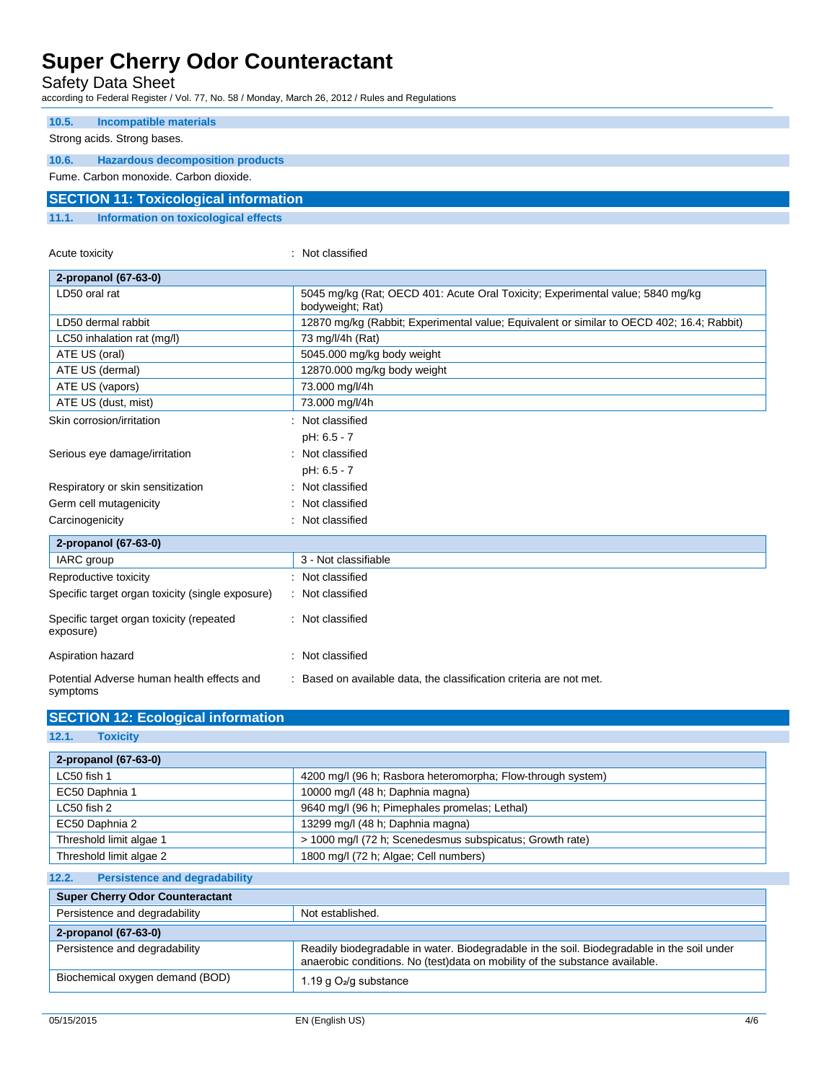Safety Data Sheet

according to Federal Register / Vol. 77, No. 58 / Monday, March 26, 2012 / Rules and Regulations

| 10.5. | Incompatible materials                       |
|-------|----------------------------------------------|
|       | Strong acids. Strong bases.                  |
| 10.6. | <b>Hazardous decomposition products</b>      |
|       | Fume, Carbon monoxide, Carbon dioxide,       |
|       | <b>SECTION 11: Toxicological information</b> |
| 11.1. | Information on toxicological effects         |

| Acute toxicity                                         | Not classified                                                                                     |  |
|--------------------------------------------------------|----------------------------------------------------------------------------------------------------|--|
| 2-propanol (67-63-0)                                   |                                                                                                    |  |
| LD50 oral rat                                          | 5045 mg/kg (Rat; OECD 401: Acute Oral Toxicity; Experimental value; 5840 mg/kg<br>bodyweight; Rat) |  |
| LD50 dermal rabbit                                     | 12870 mg/kg (Rabbit; Experimental value; Equivalent or similar to OECD 402; 16.4; Rabbit)          |  |
| LC50 inhalation rat (mg/l)                             | 73 mg/l/4h (Rat)                                                                                   |  |
| ATE US (oral)                                          | 5045.000 mg/kg body weight                                                                         |  |
| ATE US (dermal)                                        | 12870.000 mg/kg body weight                                                                        |  |
| ATE US (vapors)                                        | 73.000 mg/l/4h                                                                                     |  |
| ATE US (dust, mist)                                    | 73.000 mg/l/4h                                                                                     |  |
| Skin corrosion/irritation                              | Not classified                                                                                     |  |
|                                                        | pH: 6.5 - 7                                                                                        |  |
| Serious eye damage/irritation                          | Not classified                                                                                     |  |
|                                                        | pH: 6.5 - 7                                                                                        |  |
| Respiratory or skin sensitization                      | Not classified                                                                                     |  |
| Germ cell mutagenicity                                 | Not classified                                                                                     |  |
| Carcinogenicity                                        | Not classified                                                                                     |  |
| 2-propanol (67-63-0)                                   |                                                                                                    |  |
| IARC group                                             | 3 - Not classifiable                                                                               |  |
| Reproductive toxicity                                  | Not classified                                                                                     |  |
| Specific target organ toxicity (single exposure)       | Not classified                                                                                     |  |
| Specific target organ toxicity (repeated<br>exposure)  | : Not classified                                                                                   |  |
| Aspiration hazard                                      | Not classified                                                                                     |  |
| Potential Adverse human health effects and<br>symptoms | Based on available data, the classification criteria are not met.                                  |  |

| 14. L<br>TOXICILY                             |                                                                                                                                                                           |  |
|-----------------------------------------------|---------------------------------------------------------------------------------------------------------------------------------------------------------------------------|--|
| 2-propanol (67-63-0)                          |                                                                                                                                                                           |  |
| LC50 fish 1                                   | 4200 mg/l (96 h; Rasbora heteromorpha; Flow-through system)                                                                                                               |  |
| EC50 Daphnia 1                                | 10000 mg/l (48 h; Daphnia magna)                                                                                                                                          |  |
| LC50 fish 2                                   | 9640 mg/l (96 h; Pimephales promelas; Lethal)                                                                                                                             |  |
| EC50 Daphnia 2                                | 13299 mg/l (48 h; Daphnia magna)                                                                                                                                          |  |
| Threshold limit algae 1                       | > 1000 mg/l (72 h; Scenedesmus subspicatus; Growth rate)                                                                                                                  |  |
| Threshold limit algae 2                       | 1800 mg/l (72 h; Algae; Cell numbers)                                                                                                                                     |  |
| 12.2.<br><b>Persistence and degradability</b> |                                                                                                                                                                           |  |
| <b>Super Cherry Odor Counteractant</b>        |                                                                                                                                                                           |  |
| Persistence and degradability                 | Not established.                                                                                                                                                          |  |
| 2-propanol (67-63-0)                          |                                                                                                                                                                           |  |
| Persistence and degradability                 | Readily biodegradable in water. Biodegradable in the soil. Biodegradable in the soil under<br>anaerobic conditions. No (test)data on mobility of the substance available. |  |
| Biochemical oxygen demand (BOD)               | 1.19 g $O_2$ /g substance                                                                                                                                                 |  |

**12.1. Toxicity**

**SECTION 12: Ecological information**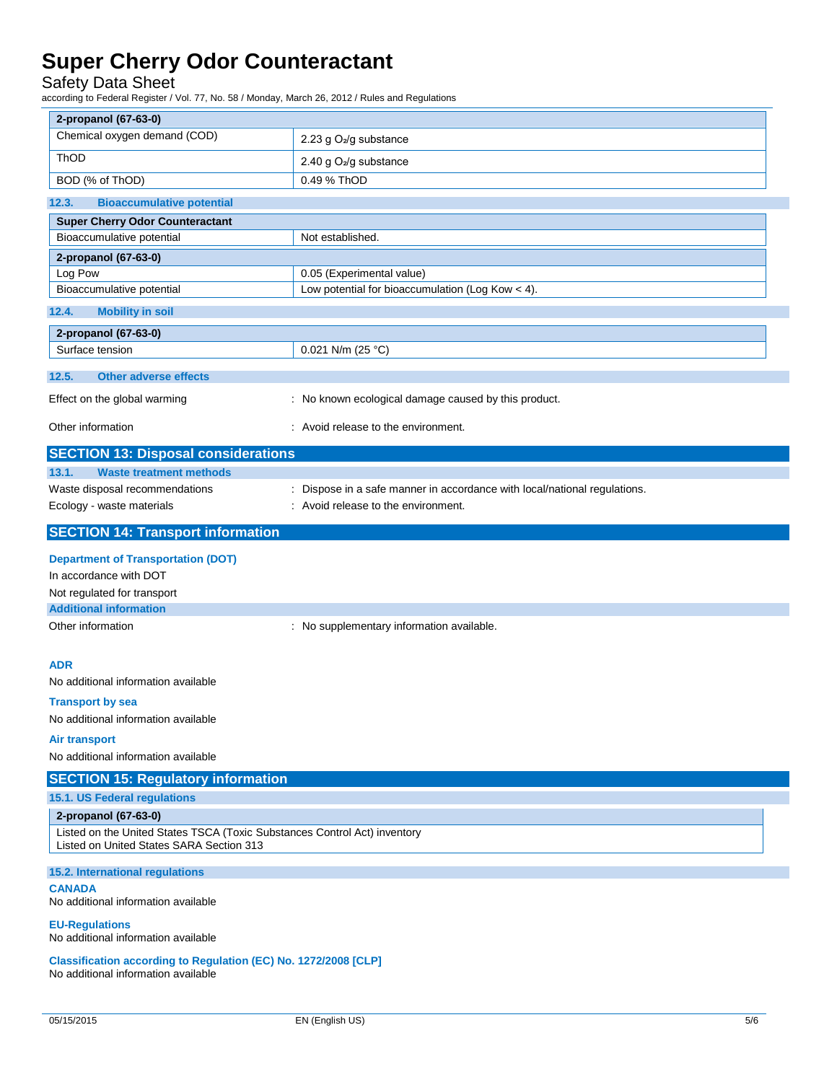### Safety Data Sheet

according to Federal Register / Vol. 77, No. 58 / Monday, March 26, 2012 / Rules and Regulations

| 2-propanol (67-63-0)                                                                                                  |                                                                           |
|-----------------------------------------------------------------------------------------------------------------------|---------------------------------------------------------------------------|
| Chemical oxygen demand (COD)                                                                                          | 2.23 g O <sub>2</sub> /g substance                                        |
| ThOD                                                                                                                  | 2.40 g O <sub>2</sub> /g substance                                        |
| BOD (% of ThOD)                                                                                                       | 0.49 % ThOD                                                               |
| 12.3.<br><b>Bioaccumulative potential</b>                                                                             |                                                                           |
| <b>Super Cherry Odor Counteractant</b>                                                                                |                                                                           |
| Bioaccumulative potential                                                                                             | Not established.                                                          |
| 2-propanol (67-63-0)                                                                                                  |                                                                           |
| Log Pow                                                                                                               | 0.05 (Experimental value)                                                 |
| Bioaccumulative potential                                                                                             | Low potential for bioaccumulation (Log Kow $<$ 4).                        |
| 12.4.<br><b>Mobility in soil</b>                                                                                      |                                                                           |
| 2-propanol (67-63-0)                                                                                                  |                                                                           |
| Surface tension                                                                                                       | 0.021 N/m (25 °C)                                                         |
| <b>Other adverse effects</b><br>12.5.                                                                                 |                                                                           |
| Effect on the global warming                                                                                          | : No known ecological damage caused by this product.                      |
| Other information                                                                                                     | : Avoid release to the environment.                                       |
| <b>SECTION 13: Disposal considerations</b>                                                                            |                                                                           |
| 13.1.<br><b>Waste treatment methods</b>                                                                               |                                                                           |
| Waste disposal recommendations                                                                                        | : Dispose in a safe manner in accordance with local/national regulations. |
| Ecology - waste materials                                                                                             | : Avoid release to the environment.                                       |
| <b>SECTION 14: Transport information</b>                                                                              |                                                                           |
| <b>Department of Transportation (DOT)</b>                                                                             |                                                                           |
| In accordance with DOT                                                                                                |                                                                           |
| Not regulated for transport                                                                                           |                                                                           |
| <b>Additional information</b>                                                                                         |                                                                           |
| Other information                                                                                                     | : No supplementary information available.                                 |
|                                                                                                                       |                                                                           |
| <b>ADR</b>                                                                                                            |                                                                           |
| No additional information available                                                                                   |                                                                           |
| <b>Transport by sea</b><br>No additional information available                                                        |                                                                           |
| Air transport                                                                                                         |                                                                           |
| No additional information available                                                                                   |                                                                           |
|                                                                                                                       |                                                                           |
| <b>SECTION 15: Regulatory information</b>                                                                             |                                                                           |
| 15.1. US Federal regulations                                                                                          |                                                                           |
| 2-propanol (67-63-0)                                                                                                  |                                                                           |
| Listed on the United States TSCA (Toxic Substances Control Act) inventory<br>Listed on United States SARA Section 313 |                                                                           |
| 15.2. International regulations                                                                                       |                                                                           |
| <b>CANADA</b><br>No additional information available                                                                  |                                                                           |
| <b>EU-Regulations</b><br>No additional information available                                                          |                                                                           |